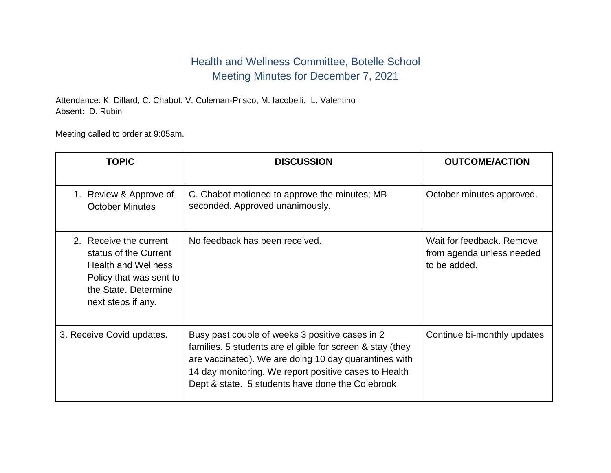## Health and Wellness Committee, Botelle School Meeting Minutes for December 7, 2021

Attendance: K. Dillard, C. Chabot, V. Coleman-Prisco, M. Iacobelli, L. Valentino Absent: D. Rubin

Meeting called to order at 9:05am.

| <b>TOPIC</b>                                                                                                                                           | <b>DISCUSSION</b>                                                                                                                                                                                                                                                                  | <b>OUTCOME/ACTION</b>                                                  |
|--------------------------------------------------------------------------------------------------------------------------------------------------------|------------------------------------------------------------------------------------------------------------------------------------------------------------------------------------------------------------------------------------------------------------------------------------|------------------------------------------------------------------------|
| 1. Review & Approve of<br><b>October Minutes</b>                                                                                                       | C. Chabot motioned to approve the minutes; MB<br>seconded. Approved unanimously.                                                                                                                                                                                                   | October minutes approved.                                              |
| 2. Receive the current<br>status of the Current<br><b>Health and Wellness</b><br>Policy that was sent to<br>the State. Determine<br>next steps if any. | No feedback has been received.                                                                                                                                                                                                                                                     | Wait for feedback, Remove<br>from agenda unless needed<br>to be added. |
| 3. Receive Covid updates.                                                                                                                              | Busy past couple of weeks 3 positive cases in 2<br>families. 5 students are eligible for screen & stay (they<br>are vaccinated). We are doing 10 day quarantines with<br>14 day monitoring. We report positive cases to Health<br>Dept & state. 5 students have done the Colebrook | Continue bi-monthly updates                                            |